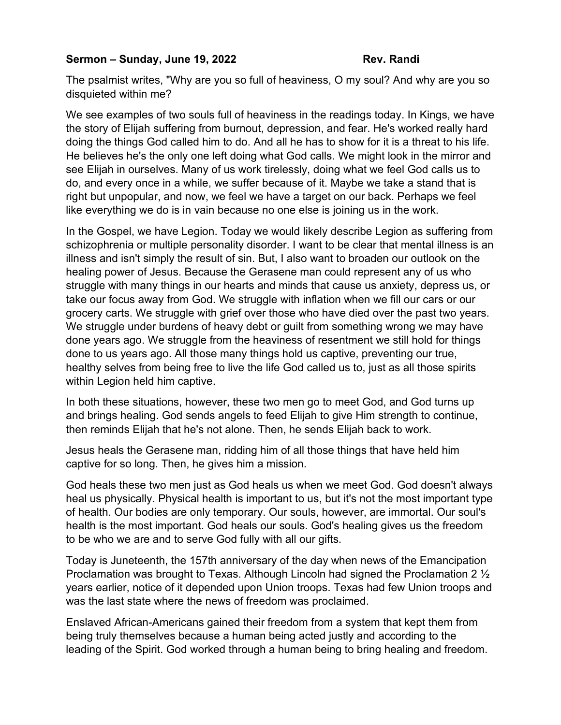## **Sermon – Sunday, June 19, 2022** Rev. Randi

The psalmist writes, "Why are you so full of heaviness, O my soul? And why are you so disquieted within me?

We see examples of two souls full of heaviness in the readings today. In Kings, we have the story of Elijah suffering from burnout, depression, and fear. He's worked really hard doing the things God called him to do. And all he has to show for it is a threat to his life. He believes he's the only one left doing what God calls. We might look in the mirror and see Elijah in ourselves. Many of us work tirelessly, doing what we feel God calls us to do, and every once in a while, we suffer because of it. Maybe we take a stand that is right but unpopular, and now, we feel we have a target on our back. Perhaps we feel like everything we do is in vain because no one else is joining us in the work.

In the Gospel, we have Legion. Today we would likely describe Legion as suffering from schizophrenia or multiple personality disorder. I want to be clear that mental illness is an illness and isn't simply the result of sin. But, I also want to broaden our outlook on the healing power of Jesus. Because the Gerasene man could represent any of us who struggle with many things in our hearts and minds that cause us anxiety, depress us, or take our focus away from God. We struggle with inflation when we fill our cars or our grocery carts. We struggle with grief over those who have died over the past two years. We struggle under burdens of heavy debt or guilt from something wrong we may have done years ago. We struggle from the heaviness of resentment we still hold for things done to us years ago. All those many things hold us captive, preventing our true, healthy selves from being free to live the life God called us to, just as all those spirits within Legion held him captive.

In both these situations, however, these two men go to meet God, and God turns up and brings healing. God sends angels to feed Elijah to give Him strength to continue, then reminds Elijah that he's not alone. Then, he sends Elijah back to work.

Jesus heals the Gerasene man, ridding him of all those things that have held him captive for so long. Then, he gives him a mission.

God heals these two men just as God heals us when we meet God. God doesn't always heal us physically. Physical health is important to us, but it's not the most important type of health. Our bodies are only temporary. Our souls, however, are immortal. Our soul's health is the most important. God heals our souls. God's healing gives us the freedom to be who we are and to serve God fully with all our gifts.

Today is Juneteenth, the 157th anniversary of the day when news of the Emancipation Proclamation was brought to Texas. Although Lincoln had signed the Proclamation 2 ½ years earlier, notice of it depended upon Union troops. Texas had few Union troops and was the last state where the news of freedom was proclaimed.

Enslaved African-Аmericans gained their freedom from a system that kept them from being truly themselves because a human being acted justly and according to the leading of the Spirit. God worked through a human being to bring healing and freedom.